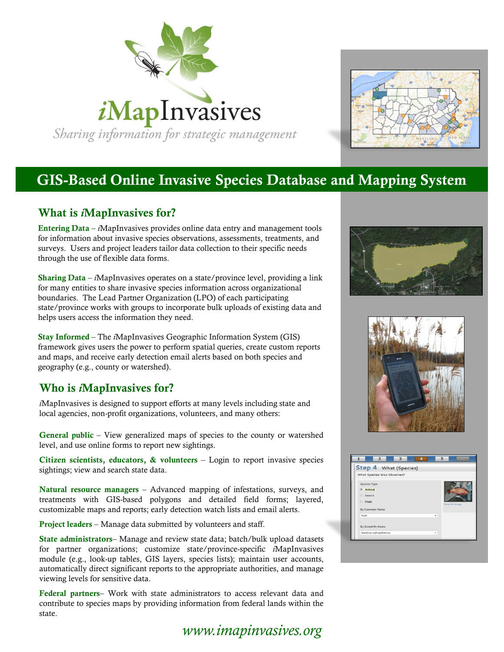



# **GIS-Based Online Invasive Species Database and Mapping System**

### **What is** *i***MapInvasives for?**

**Entering Data** – *i*MapInvasives provides online data entry and management tools for information about invasive species observations, assessments, treatments, and surveys. Users and project leaders tailor data collection to their specific needs through the use of flexible data forms.

**Sharing Data** – *i*MapInvasives operates on a state/province level, providing a link for many entities to share invasive species information across organizational boundaries. The Lead Partner Organization (LPO) of each participating state/province works with groups to incorporate bulk uploads of existing data and helps users access the information they need.

**Stay Informed** – The *i*MapInvasives Geographic Information System (GIS) framework gives users the power to perform spatial queries, create custom reports and maps, and receive early detection email alerts based on both species and geography (e.g., county or watershed).

### **Who is** *i***MapInvasives for?**

*i*MapInvasives is designed to support efforts at many levels including state and local agencies, non-profit organizations, volunteers, and many others:

**General public** – View generalized maps of species to the county or watershed level, and use online forms to report new sightings.

**Citizen scientists, educators, & volunteers** – Login to report invasive species sightings; view and search state data.

**Natural resource managers** – Advanced mapping of infestations, surveys, and treatments with GIS-based polygons and detailed field forms; layered, customizable maps and reports; early detection watch lists and email alerts.

**Project leaders** – Manage data submitted by volunteers and staff.

**State administrators**– Manage and review state data; batch/bulk upload datasets for partner organizations; customize state/province-specific *i*MapInvasives module (e.g., look-up tables, GIS layers, species lists); maintain user accounts, automatically direct significant reports to the appropriate authorities, and manage viewing levels for sensitive data.

**Federal partners**– Work with state administrators to access relevant data and contribute to species maps by providing information from federal lands within the state.

*www.imapinvasives.org*





| $\overline{2}$<br>3<br>◢    | 5               |
|-----------------------------|-----------------|
| Step 4 What (Species)       |                 |
| What Species Was Observed?  |                 |
| Species Type                |                 |
| <b>Animal</b>               |                 |
| <b><i>C</i></b> Insect      |                 |
| <b>Plant</b>                | Show Full Image |
| By Common Name              |                 |
| Rudd                        | ۰               |
| By Scientific Name          |                 |
| Scardinius erythrophthalmus | ۰               |
|                             |                 |